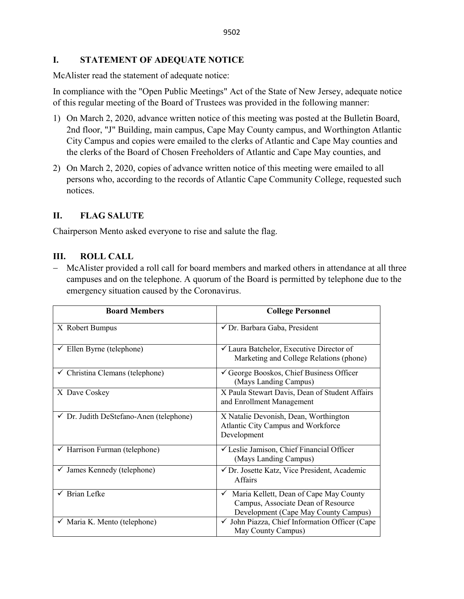#### **I. STATEMENT OF ADEQUATE NOTICE**

McAlister read the statement of adequate notice:

In compliance with the "Open Public Meetings" Act of the State of New Jersey, adequate notice of this regular meeting of the Board of Trustees was provided in the following manner:

- 1) On March 2, 2020, advance written notice of this meeting was posted at the Bulletin Board, 2nd floor, "J" Building, main campus, Cape May County campus, and Worthington Atlantic City Campus and copies were emailed to the clerks of Atlantic and Cape May counties and the clerks of the Board of Chosen Freeholders of Atlantic and Cape May counties, and
- 2) On March 2, 2020, copies of advance written notice of this meeting were emailed to all persons who, according to the records of Atlantic Cape Community College, requested such notices.

#### **II. FLAG SALUTE**

Chairperson Mento asked everyone to rise and salute the flag.

## **III. ROLL CALL**

− McAlister provided a roll call for board members and marked others in attendance at all three campuses and on the telephone. A quorum of the Board is permitted by telephone due to the emergency situation caused by the Coronavirus.

| <b>Board Members</b>                               | <b>College Personnel</b>                                                                                                             |
|----------------------------------------------------|--------------------------------------------------------------------------------------------------------------------------------------|
| X Robert Bumpus                                    | √ Dr. Barbara Gaba, President                                                                                                        |
| $\checkmark$ Ellen Byrne (telephone)               | ✔ Laura Batchelor, Executive Director of<br>Marketing and College Relations (phone)                                                  |
| $\checkmark$ Christina Clemans (telephone)         | $\checkmark$ George Booskos, Chief Business Officer<br>(Mays Landing Campus)                                                         |
| X Dave Coskey                                      | X Paula Stewart Davis, Dean of Student Affairs<br>and Enrollment Management                                                          |
| $\checkmark$ Dr. Judith DeStefano-Anen (telephone) | X Natalie Devonish, Dean, Worthington<br>Atlantic City Campus and Workforce<br>Development                                           |
| $\checkmark$ Harrison Furman (telephone)           | √ Leslie Jamison, Chief Financial Officer<br>(Mays Landing Campus)                                                                   |
| $\checkmark$ James Kennedy (telephone)             | ✔ Dr. Josette Katz, Vice President, Academic<br><b>Affairs</b>                                                                       |
| <b>Brian Lefke</b>                                 | Maria Kellett, Dean of Cape May County<br>$\checkmark$<br>Campus, Associate Dean of Resource<br>Development (Cape May County Campus) |
| $\checkmark$ Maria K. Mento (telephone)            | $\checkmark$ John Piazza, Chief Information Officer (Cape<br>May County Campus)                                                      |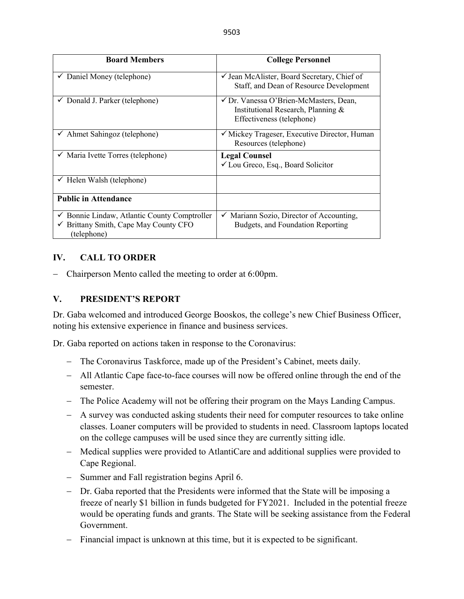| <b>Board Members</b>                                                                                                       | <b>College Personnel</b>                                                                                  |
|----------------------------------------------------------------------------------------------------------------------------|-----------------------------------------------------------------------------------------------------------|
| $\checkmark$ Daniel Money (telephone)                                                                                      | $\checkmark$ Jean McAlister, Board Secretary, Chief of<br>Staff, and Dean of Resource Development         |
| $\checkmark$ Donald J. Parker (telephone)                                                                                  | ✓ Dr. Vanessa O'Brien-McMasters, Dean,<br>Institutional Research, Planning &<br>Effectiveness (telephone) |
| $\checkmark$ Ahmet Sahingoz (telephone)                                                                                    | $\checkmark$ Mickey Trageser, Executive Director, Human<br>Resources (telephone)                          |
| $\checkmark$ Maria Ivette Torres (telephone)                                                                               | <b>Legal Counsel</b><br>$\checkmark$ Lou Greco, Esq., Board Solicitor                                     |
| $\checkmark$ Helen Walsh (telephone)                                                                                       |                                                                                                           |
| <b>Public in Attendance</b>                                                                                                |                                                                                                           |
| $\checkmark$ Bonnie Lindaw, Atlantic County Comptroller<br>$\checkmark$ Brittany Smith, Cape May County CFO<br>(telephone) | Mariann Sozio, Director of Accounting,<br>✓<br>Budgets, and Foundation Reporting                          |

# **IV. CALL TO ORDER**

− Chairperson Mento called the meeting to order at 6:00pm.

# **V. PRESIDENT'S REPORT**

Dr. Gaba welcomed and introduced George Booskos, the college's new Chief Business Officer, noting his extensive experience in finance and business services.

Dr. Gaba reported on actions taken in response to the Coronavirus:

- − The Coronavirus Taskforce, made up of the President's Cabinet, meets daily.
- − All Atlantic Cape face-to-face courses will now be offered online through the end of the semester.
- − The Police Academy will not be offering their program on the Mays Landing Campus.
- − A survey was conducted asking students their need for computer resources to take online classes. Loaner computers will be provided to students in need. Classroom laptops located on the college campuses will be used since they are currently sitting idle.
- − Medical supplies were provided to AtlantiCare and additional supplies were provided to Cape Regional.
- Summer and Fall registration begins April 6.
- Dr. Gaba reported that the Presidents were informed that the State will be imposing a freeze of nearly \$1 billion in funds budgeted for FY2021. Included in the potential freeze would be operating funds and grants. The State will be seeking assistance from the Federal Government.
- − Financial impact is unknown at this time, but it is expected to be significant.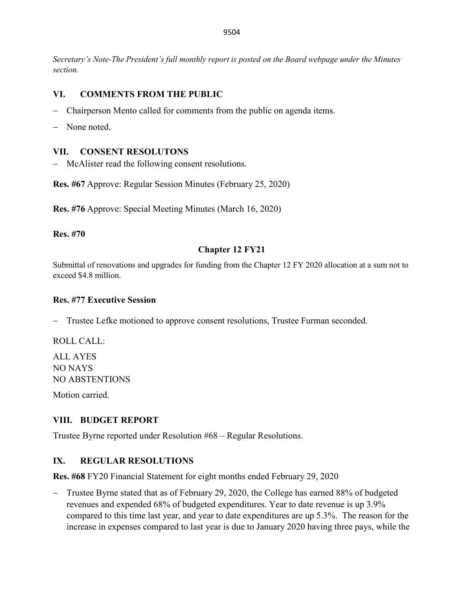*Secretary's Note-The President's full monthly report is posted on the Board webpage under the Minutes section.*

# **VI. COMMENTS FROM THE PUBLIC**

- − Chairperson Mento called for comments from the public on agenda items.
- None noted.

#### **VII. CONSENT RESOLUTONS**

− McAlister read the following consent resolutions.

**Res. #67** Approve: Regular Session Minutes (February 25, 2020)

**Res. #76** Approve: Special Meeting Minutes (March 16, 2020)

**Res. #70** 

#### **Chapter 12 FY21**

Submittal of renovations and upgrades for funding from the Chapter 12 FY 2020 allocation at a sum not to exceed \$4.8 million.

#### **Res. #77 Executive Session**

− Trustee Lefke motioned to approve consent resolutions, Trustee Furman seconded.

ROLL CALL:

ALL AYES NO NAYS NO ABSTENTIONS

Motion carried.

## **VIII. BUDGET REPORT**

Trustee Byrne reported under Resolution #68 – Regular Resolutions.

## **IX. REGULAR RESOLUTIONS**

**Res. #68** FY20 Financial Statement for eight months ended February 29, 2020

− Trustee Byrne stated that as of February 29, 2020, the College has earned 88% of budgeted revenues and expended 68% of budgeted expenditures. Year to date revenue is up 3.9% compared to this time last year, and year to date expenditures are up 5.3%. The reason for the increase in expenses compared to last year is due to January 2020 having three pays, while the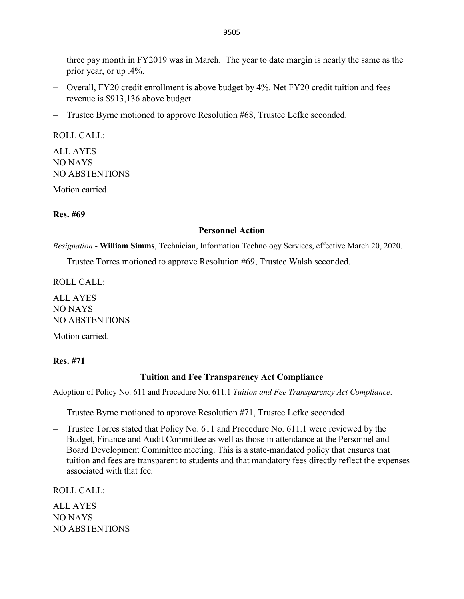three pay month in FY2019 was in March. The year to date margin is nearly the same as the prior year, or up .4%.

- − Overall, FY20 credit enrollment is above budget by 4%. Net FY20 credit tuition and fees revenue is \$913,136 above budget.
- − Trustee Byrne motioned to approve Resolution #68, Trustee Lefke seconded.

ROLL CALL: ALL AYES NO NAYS NO ABSTENTIONS

Motion carried.

#### **Res. #69**

#### **Personnel Action**

*Resignation* - **William Simms**, Technician, Information Technology Services, effective March 20, 2020.

− Trustee Torres motioned to approve Resolution #69, Trustee Walsh seconded.

ROLL CALL:

ALL AYES NO NAYS NO ABSTENTIONS

Motion carried.

#### **Res. #71**

#### **Tuition and Fee Transparency Act Compliance**

Adoption of Policy No. 611 and Procedure No. 611.1 *Tuition and Fee Transparency Act Compliance*.

- − Trustee Byrne motioned to approve Resolution #71, Trustee Lefke seconded.
- − Trustee Torres stated that Policy No. 611 and Procedure No. 611.1 were reviewed by the Budget, Finance and Audit Committee as well as those in attendance at the Personnel and Board Development Committee meeting. This is a state-mandated policy that ensures that tuition and fees are transparent to students and that mandatory fees directly reflect the expenses associated with that fee.

ROLL CALL:

ALL AYES NO NAYS NO ABSTENTIONS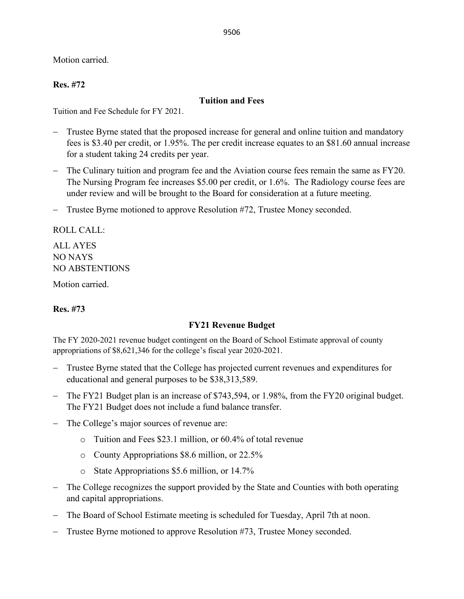9506

Motion carried.

## **Res. #72**

## **Tuition and Fees**

Tuition and Fee Schedule for FY 2021.

- − Trustee Byrne stated that the proposed increase for general and online tuition and mandatory fees is \$3.40 per credit, or 1.95%. The per credit increase equates to an \$81.60 annual increase for a student taking 24 credits per year.
- − The Culinary tuition and program fee and the Aviation course fees remain the same as FY20. The Nursing Program fee increases \$5.00 per credit, or 1.6%. The Radiology course fees are under review and will be brought to the Board for consideration at a future meeting.
- − Trustee Byrne motioned to approve Resolution #72, Trustee Money seconded.

ROLL CALL:

ALL AYES NO NAYS NO ABSTENTIONS

Motion carried.

## **Res. #73**

## **FY21 Revenue Budget**

The FY 2020-2021 revenue budget contingent on the Board of School Estimate approval of county appropriations of \$8,621,346 for the college's fiscal year 2020-2021.

- − Trustee Byrne stated that the College has projected current revenues and expenditures for educational and general purposes to be \$38,313,589.
- − The FY21 Budget plan is an increase of \$743,594, or 1.98%, from the FY20 original budget. The FY21 Budget does not include a fund balance transfer.
- − The College's major sources of revenue are:
	- o Tuition and Fees \$23.1 million, or 60.4% of total revenue
	- o County Appropriations \$8.6 million, or 22.5%
	- o State Appropriations \$5.6 million, or 14.7%
- The College recognizes the support provided by the State and Counties with both operating and capital appropriations.
- The Board of School Estimate meeting is scheduled for Tuesday, April 7th at noon.
- − Trustee Byrne motioned to approve Resolution #73, Trustee Money seconded.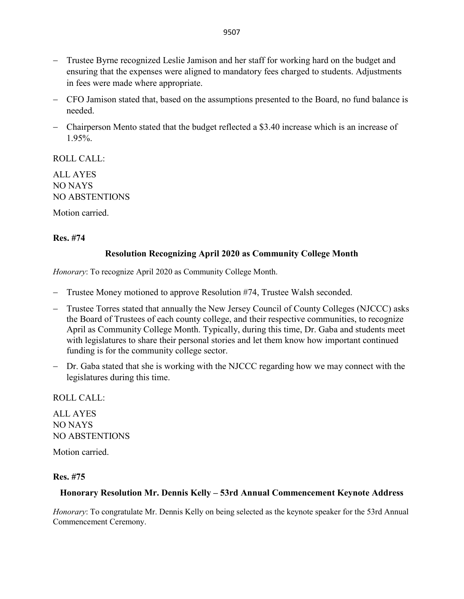- − Trustee Byrne recognized Leslie Jamison and her staff for working hard on the budget and ensuring that the expenses were aligned to mandatory fees charged to students. Adjustments in fees were made where appropriate.
- − CFO Jamison stated that, based on the assumptions presented to the Board, no fund balance is needed.
- − Chairperson Mento stated that the budget reflected a \$3.40 increase which is an increase of 1.95%.

ROLL CALL:

ALL AYES NO NAYS NO ABSTENTIONS

Motion carried.

#### **Res. #74**

#### **Resolution Recognizing April 2020 as Community College Month**

*Honorary*: To recognize April 2020 as Community College Month.

- − Trustee Money motioned to approve Resolution #74, Trustee Walsh seconded.
- − Trustee Torres stated that annually the New Jersey Council of County Colleges (NJCCC) asks the Board of Trustees of each county college, and their respective communities, to recognize April as Community College Month. Typically, during this time, Dr. Gaba and students meet with legislatures to share their personal stories and let them know how important continued funding is for the community college sector.
- − Dr. Gaba stated that she is working with the NJCCC regarding how we may connect with the legislatures during this time.

ROLL CALL:

ALL AYES NO NAYS NO ABSTENTIONS

Motion carried.

#### **Res. #75**

## **Honorary Resolution Mr. Dennis Kelly – 53rd Annual Commencement Keynote Address**

*Honorary*: To congratulate Mr. Dennis Kelly on being selected as the keynote speaker for the 53rd Annual Commencement Ceremony.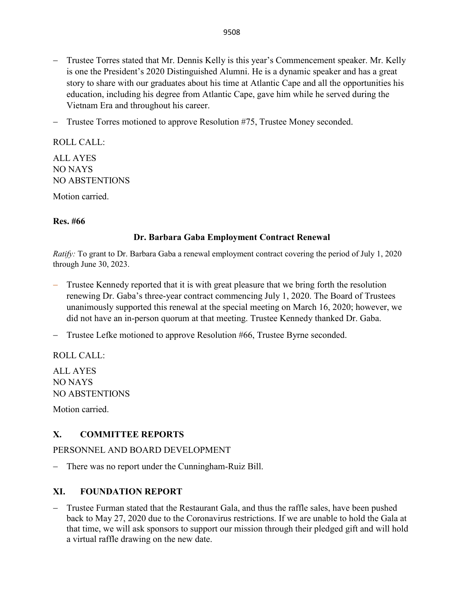- − Trustee Torres stated that Mr. Dennis Kelly is this year's Commencement speaker. Mr. Kelly is one the President's 2020 Distinguished Alumni. He is a dynamic speaker and has a great story to share with our graduates about his time at Atlantic Cape and all the opportunities his education, including his degree from Atlantic Cape, gave him while he served during the Vietnam Era and throughout his career.
- − Trustee Torres motioned to approve Resolution #75, Trustee Money seconded.

ROLL CALL: ALL AYES NO NAYS NO ABSTENTIONS Motion carried.

#### **Res. #66**

## **Dr. Barbara Gaba Employment Contract Renewal**

*Ratify:* To grant to Dr. Barbara Gaba a renewal employment contract covering the period of July 1, 2020 through June 30, 2023.

- − Trustee Kennedy reported that it is with great pleasure that we bring forth the resolution renewing Dr. Gaba's three-year contract commencing July 1, 2020. The Board of Trustees unanimously supported this renewal at the special meeting on March 16, 2020; however, we did not have an in-person quorum at that meeting. Trustee Kennedy thanked Dr. Gaba.
- − Trustee Lefke motioned to approve Resolution #66, Trustee Byrne seconded.

ROLL CALL:

ALL AYES NO NAYS NO ABSTENTIONS

Motion carried.

# **X. COMMITTEE REPORTS**

## PERSONNEL AND BOARD DEVELOPMENT

− There was no report under the Cunningham-Ruiz Bill.

## **XI. FOUNDATION REPORT**

− Trustee Furman stated that the Restaurant Gala, and thus the raffle sales, have been pushed back to May 27, 2020 due to the Coronavirus restrictions. If we are unable to hold the Gala at that time, we will ask sponsors to support our mission through their pledged gift and will hold a virtual raffle drawing on the new date.